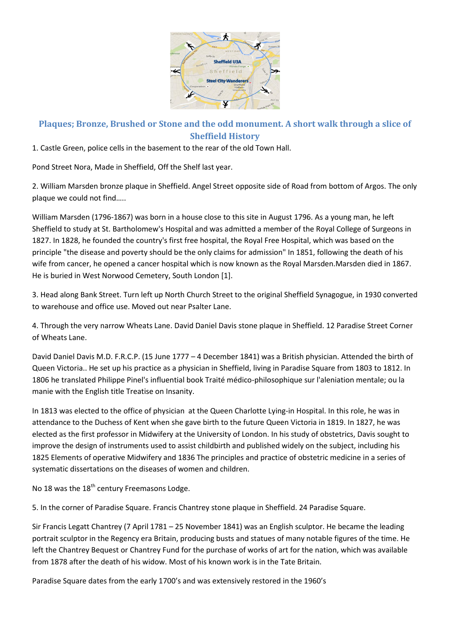

## **Plaques; Bronze, Brushed or Stone and the odd monument. A short walk through a slice of Sheffield History**

1. Castle Green, police cells in the basement to the rear of the old Town Hall.

Pond Street Nora, Made in Sheffield, Off the Shelf last year.

2. William Marsden bronze plaque in Sheffield. Angel Street opposite side of Road from bottom of Argos. The only plaque we could not find…..

William Marsden (1796-1867) was born in a house close to this site in August 1796. As a young man, he left Sheffield to study at St. Bartholomew's Hospital and was admitted a member of the Royal College of Surgeons in 1827. In 1828, he founded the country's first free hospital, the Royal Free Hospital, which was based on the principle "the disease and poverty should be the only claims for admission" In 1851, following the death of his wife from cancer, he opened a cancer hospital which is now known as the Royal Marsden.Marsden died in 1867. He is buried in West Norwood Cemetery, South London [1].

3. Head along Bank Street. Turn left up North Church Street to the original Sheffield Synagogue, in 1930 converted to warehouse and office use. Moved out near Psalter Lane.

4. Through the very narrow Wheats Lane. David Daniel Davis stone plaque in Sheffield. 12 Paradise Street Corner of Wheats Lane.

David Daniel Davis M.D. F.R.C.P. (15 June 1777 – 4 December 1841) was a British physician. Attended the birth of Queen Victoria.. He set up his practice as a physician in Sheffield, living in Paradise Square from 1803 to 1812. In 1806 he translated Philippe Pinel's influential book Traité médico-philosophique sur l'aleniation mentale; ou la manie with the English title Treatise on Insanity.

In 1813 was elected to the office of physician at the Queen Charlotte Lying-in Hospital. In this role, he was in attendance to the Duchess of Kent when she gave birth to the future Queen Victoria in 1819. In 1827, he was elected as the first professor in Midwifery at the University of London. In his study of obstetrics, Davis sought to improve the design of instruments used to assist childbirth and published widely on the subject, including his 1825 Elements of operative Midwifery and 1836 The principles and practice of obstetric medicine in a series of systematic dissertations on the diseases of women and children.

No 18 was the  $18<sup>th</sup>$  century Freemasons Lodge.

5. In the corner of Paradise Square. Francis Chantrey stone plaque in Sheffield. 24 Paradise Square.

Sir Francis Legatt Chantrey (7 April 1781 – 25 November 1841) was an English sculptor. He became the leading portrait sculptor in the Regency era Britain, producing busts and statues of many notable figures of the time. He left the Chantrey Bequest or Chantrey Fund for the purchase of works of art for the nation, which was available from 1878 after the death of his widow. Most of his known work is in the Tate Britain.

Paradise Square dates from the early 1700's and was extensively restored in the 1960's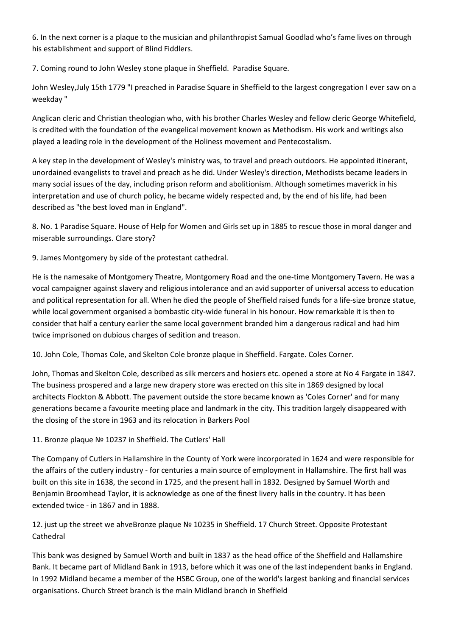6. In the next corner is a plaque to the musician and philanthropist Samual Goodlad who's fame lives on through his establishment and support of Blind Fiddlers.

7. Coming round to John Wesley stone plaque in Sheffield. Paradise Square.

John Wesley,July 15th 1779 "I preached in Paradise Square in Sheffield to the largest congregation I ever saw on a weekday "

Anglican cleric and Christian theologian who, with his brother Charles Wesley and fellow cleric George Whitefield, is credited with the foundation of the evangelical movement known as Methodism. His work and writings also played a leading role in the development of the Holiness movement and Pentecostalism.

A key step in the development of Wesley's ministry was, to travel and preach outdoors. He appointed itinerant, unordained evangelists to travel and preach as he did. Under Wesley's direction, Methodists became leaders in many social issues of the day, including prison reform and abolitionism. Although sometimes maverick in his interpretation and use of church policy, he became widely respected and, by the end of his life, had been described as "the best loved man in England".

8. No. 1 Paradise Square. House of Help for Women and Girls set up in 1885 to rescue those in moral danger and miserable surroundings. Clare story?

9. James Montgomery by side of the protestant cathedral.

He is the namesake of Montgomery Theatre, Montgomery Road and the one-time Montgomery Tavern. He was a vocal campaigner against slavery and religious intolerance and an avid supporter of universal access to education and political representation for all. When he died the people of Sheffield raised funds for a life-size bronze statue, while local government organised a bombastic city-wide funeral in his honour. How remarkable it is then to consider that half a century earlier the same local government branded him a dangerous radical and had him twice imprisoned on dubious charges of sedition and treason.

10. John Cole, Thomas Cole, and Skelton Cole bronze plaque in Sheffield. Fargate. Coles Corner.

John, Thomas and Skelton Cole, described as silk mercers and hosiers etc. opened a store at No 4 Fargate in 1847. The business prospered and a large new drapery store was erected on this site in 1869 designed by local architects Flockton & Abbott. The pavement outside the store became known as 'Coles Corner' and for many generations became a favourite meeting place and landmark in the city. This tradition largely disappeared with the closing of the store in 1963 and its relocation in Barkers Pool

11. Bronze plaque № 10237 in Sheffield. The Cutlers' Hall

The Company of Cutlers in Hallamshire in the County of York were incorporated in 1624 and were responsible for the affairs of the cutlery industry - for centuries a main source of employment in Hallamshire. The first hall was built on this site in 1638, the second in 1725, and the present hall in 1832. Designed by Samuel Worth and Benjamin Broomhead Taylor, it is acknowledge as one of the finest livery halls in the country. It has been extended twice - in 1867 and in 1888.

12. just up the street we ahveBronze plaque № 10235 in Sheffield. 17 Church Street. Opposite Protestant Cathedral

This bank was designed by Samuel Worth and built in 1837 as the head office of the Sheffield and Hallamshire Bank. It became part of Midland Bank in 1913, before which it was one of the last independent banks in England. In 1992 Midland became a member of the HSBC Group, one of the world's largest banking and financial services organisations. Church Street branch is the main Midland branch in Sheffield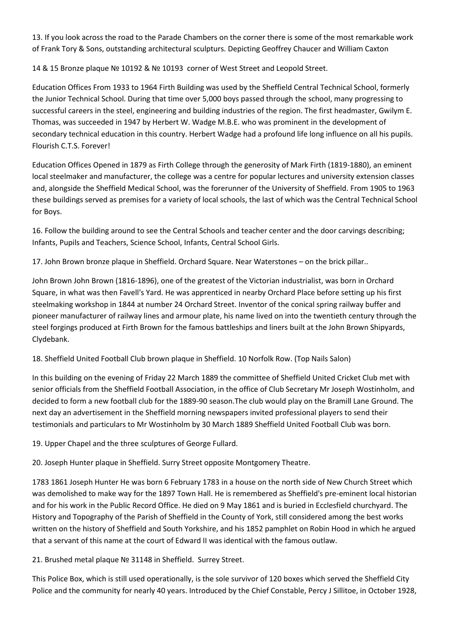13. If you look across the road to the Parade Chambers on the corner there is some of the most remarkable work of Frank Tory & Sons, outstanding architectural sculpturs. Depicting Geoffrey Chaucer and William Caxton

14 & 15 Bronze plaque № 10192 & № 10193 corner of West Street and Leopold Street.

Education Offices From 1933 to 1964 Firth Building was used by the Sheffield Central Technical School, formerly the Junior Technical School. During that time over 5,000 boys passed through the school, many progressing to successful careers in the steel, engineering and building industries of the region. The first headmaster, Gwilym E. Thomas, was succeeded in 1947 by Herbert W. Wadge M.B.E. who was prominent in the development of secondary technical education in this country. Herbert Wadge had a profound life long influence on all his pupils. Flourish C.T.S. Forever!

Education Offices Opened in 1879 as Firth College through the generosity of Mark Firth (1819-1880), an eminent local steelmaker and manufacturer, the college was a centre for popular lectures and university extension classes and, alongside the Sheffield Medical School, was the forerunner of the University of Sheffield. From 1905 to 1963 these buildings served as premises for a variety of local schools, the last of which was the Central Technical School for Boys.

16. Follow the building around to see the Central Schools and teacher center and the door carvings describing; Infants, Pupils and Teachers, Science School, Infants, Central School Girls.

17. John Brown bronze plaque in Sheffield. Orchard Square. Near Waterstones – on the brick pillar..

John Brown John Brown (1816-1896), one of the greatest of the Victorian industrialist, was born in Orchard Square, in what was then Favell's Yard. He was apprenticed in nearby Orchard Place before setting up his first steelmaking workshop in 1844 at number 24 Orchard Street. Inventor of the conical spring railway buffer and pioneer manufacturer of railway lines and armour plate, his name lived on into the twentieth century through the steel forgings produced at Firth Brown for the famous battleships and liners built at the John Brown Shipyards, Clydebank.

18. Sheffield United Football Club brown plaque in Sheffield. 10 Norfolk Row. (Top Nails Salon)

In this building on the evening of Friday 22 March 1889 the committee of Sheffield United Cricket Club met with senior officials from the Sheffield Football Association, in the office of Club Secretary Mr Joseph Wostinholm, and decided to form a new football club for the 1889-90 season.The club would play on the Bramill Lane Ground. The next day an advertisement in the Sheffield morning newspapers invited professional players to send their testimonials and particulars to Mr Wostinholm by 30 March 1889 Sheffield United Football Club was born.

19. Upper Chapel and the three sculptures of George Fullard.

20. Joseph Hunter plaque in Sheffield. Surry Street opposite Montgomery Theatre.

1783 1861 Joseph Hunter He was born 6 February 1783 in a house on the north side of New Church Street which was demolished to make way for the 1897 Town Hall. He is remembered as Sheffield's pre-eminent local historian and for his work in the Public Record Office. He died on 9 May 1861 and is buried in Ecclesfield churchyard. The History and Topography of the Parish of Sheffield in the County of York, still considered among the best works written on the history of Sheffield and South Yorkshire, and his 1852 pamphlet on Robin Hood in which he argued that a servant of this name at the court of Edward II was identical with the famous outlaw.

21. Brushed metal plaque № 31148 in Sheffield. Surrey Street.

This Police Box, which is still used operationally, is the sole survivor of 120 boxes which served the Sheffield City Police and the community for nearly 40 years. Introduced by the Chief Constable, Percy J Sillitoe, in October 1928,